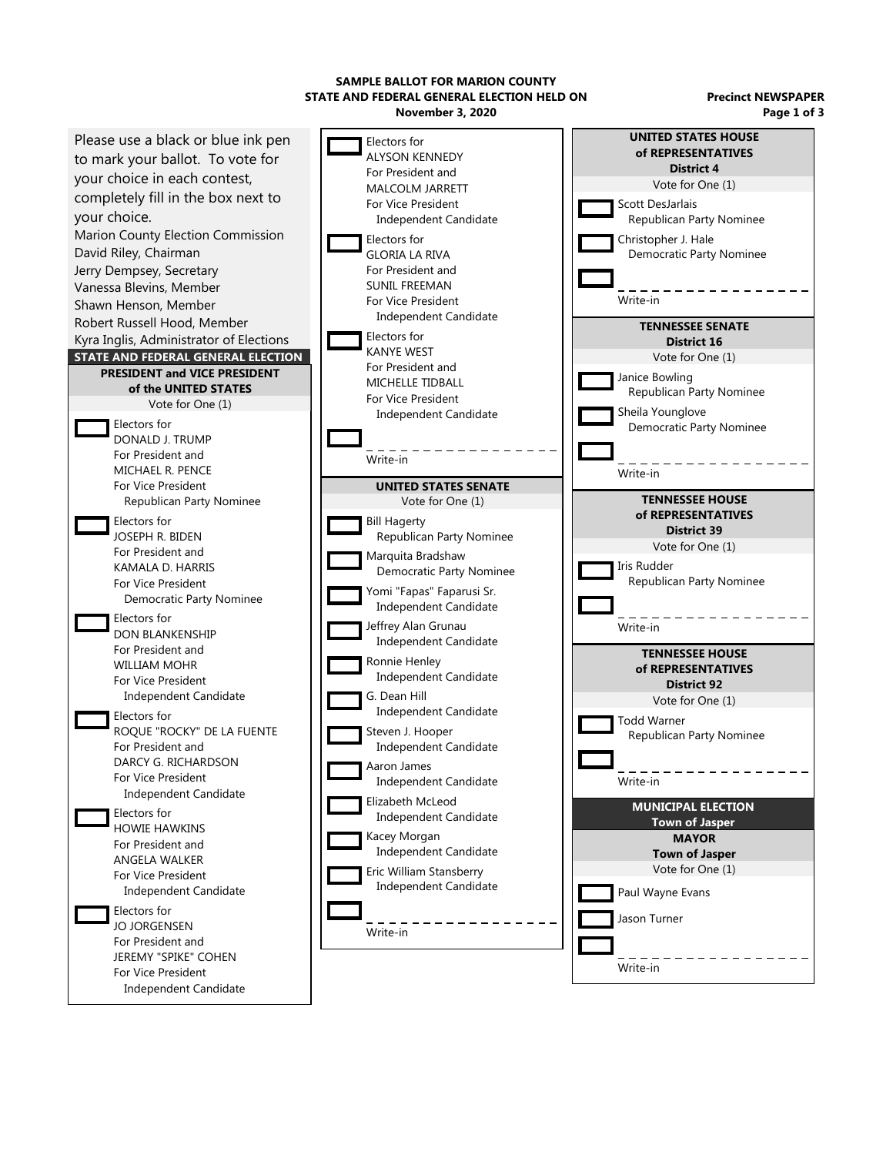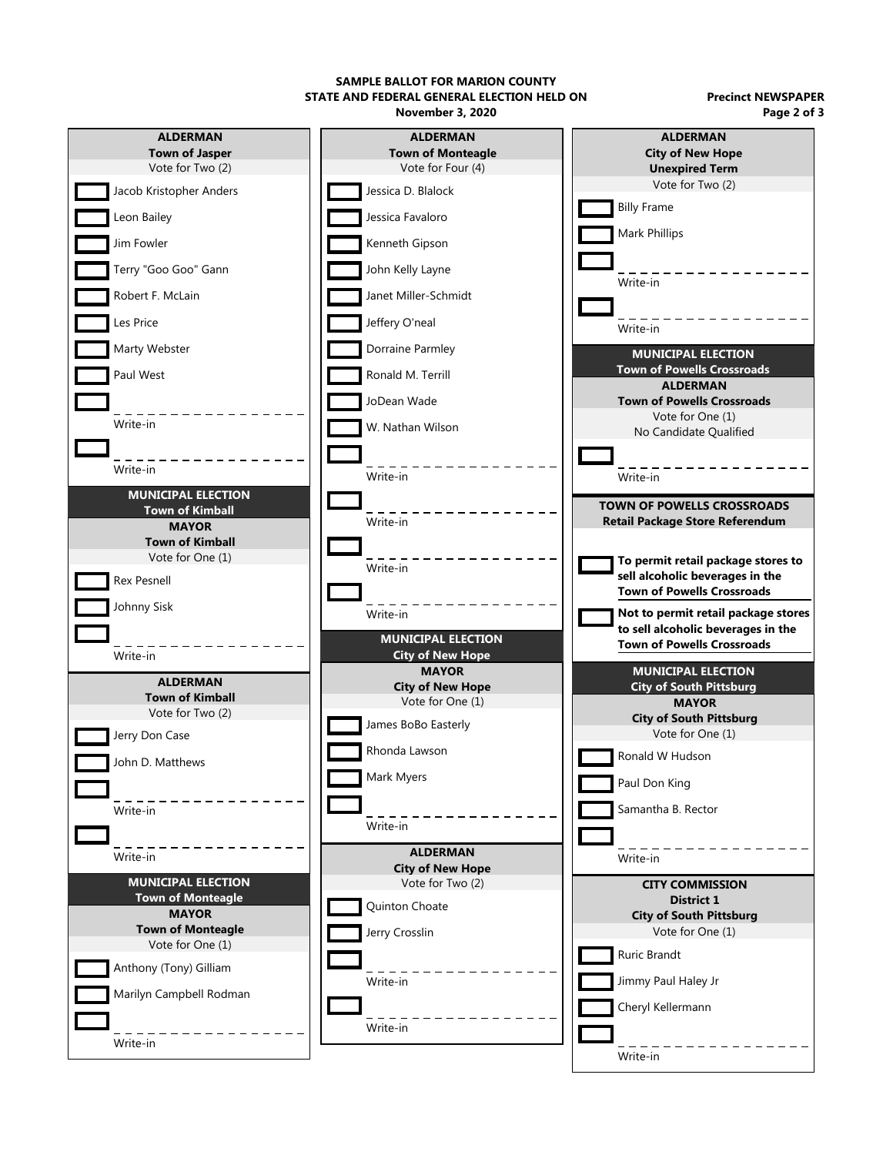**SAMPLE BALLOT FOR MARION COUNTY STATE AND FEDERAL GENERAL ELECTION HELD ON**

**November 3, 2020**